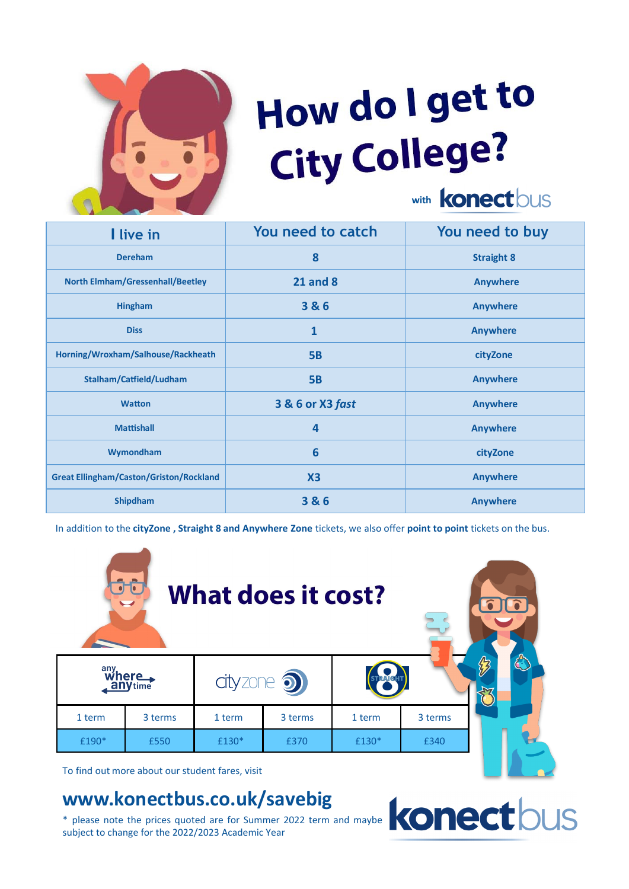

## How do I get to City College?

with **Konect** bus

| I live in                                      | You need to catch       | You need to buy   |
|------------------------------------------------|-------------------------|-------------------|
| <b>Dereham</b>                                 | 8                       | <b>Straight 8</b> |
| <b>North Elmham/Gressenhall/Beetley</b>        | <b>21 and 8</b>         | <b>Anywhere</b>   |
| <b>Hingham</b>                                 | 3&6                     | <b>Anywhere</b>   |
| <b>Diss</b>                                    | $\mathbf{1}$            | <b>Anywhere</b>   |
| Horning/Wroxham/Salhouse/Rackheath             | <b>5B</b>               | cityZone          |
| Stalham/Catfield/Ludham                        | <b>5B</b>               | <b>Anywhere</b>   |
| <b>Watton</b>                                  | 3 & 6 or X3 fast        | <b>Anywhere</b>   |
| <b>Mattishall</b>                              | $\overline{\mathbf{4}}$ | <b>Anywhere</b>   |
| Wymondham                                      | 6                       | cityZone          |
| <b>Great Ellingham/Caston/Griston/Rockland</b> | X3                      | <b>Anywhere</b>   |
| <b>Shipdham</b>                                | 3 & 6                   | <b>Anywhere</b>   |

In addition to the **cityZone , Straight 8 and Anywhere Zone** tickets, we also offer **point to point** tickets on the bus.



To find out more about our student fares, visit

## **www.konectbus.co.uk/savebig**

\* please note the prices quoted are for Summer 2022 term and maybe subject to change for the 2022/2023 Academic Year